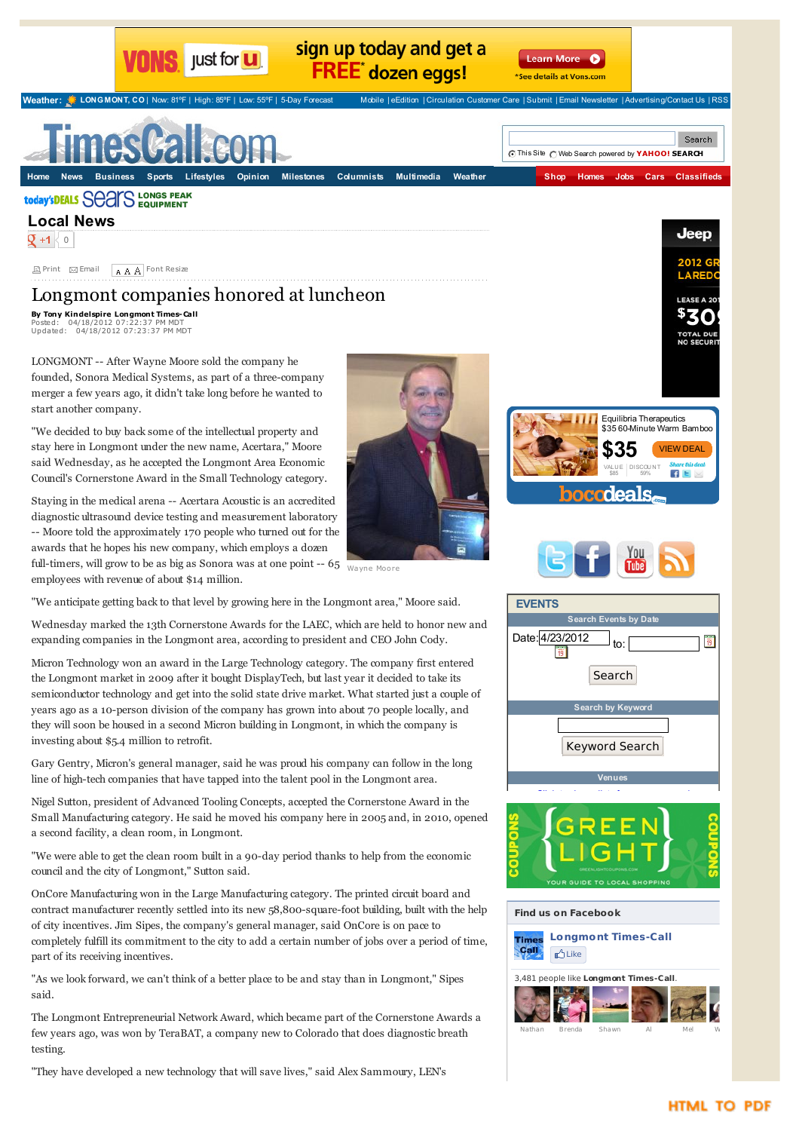| just for <b>U</b> |  |
|-------------------|--|
|                   |  |

## sign up today and get a **FREE** dozen eggs!

Learn More O \*See details at Vons.com

**[Weather:](http://www.timescall.com/longmont-weather) LONGMONT, CO** |[Now:](http://www.timescall.com/longmont-weather) 81ºF | [High:](http://www.timescall.com/longmont-weather) 85ºF | [Low:](http://www.timescall.com/longmont-weather) 55ºF | 5-Day [Forecast](http://www.timescall.com/longmont-weather) [Mobile](http://m.timescall.com/) | [eEdition](http://longmonttimescall.co.newsmemory.com) | [Circulation](http://www.timescallcustomercare.com) Customer Care | [Submit](http://www.timescall.com/submit) | Email [Newsletter](http://eepurl.com/fRd15) | [Advertising/Contact](http://www.timescall.com/contact-us) Us | [RSS](http://www.timescall.com/rss)



Jeep

2012.0

## today'sDEALS SCATS LONGS PEAK

**Local [News](http://www.timescall.com/news/coloradonews)**

 $\mathbf{Q}$  +1  $\leq$  [0](http://www.timescall.com/community)

<span id="page-0-0"></span>**E** Print **[Emai](javascript: popup("email","/portlet/article/html/fragments/email_article.jsp?articleId=20428058§ion=/news/longmont-local-news",700,500);)[l](http://www.timescall.com/news/nationworldnews)**  $\boxed{A \land A}$  Font Re[size](http://www.timescall.com/features/games)

## Lo[ngmont](http://www.timescall.com/where) companies [honored](http://www.timescall.com/features/horoscopes/) at luncheon

**By Tony [Kindelspire](http://www.colo-news.com/crime_map/index.asp) Longmont Time[s-Call](http://www.colo-news.com/specialsections/aipp/index.asp)** Posted: [04/18/2012](http://www.colo-news.com/submittedcontent/indextc.php) 07:22:37 PM MDT Updated: [04/18/2012](http://www.timescall.com/news/longmont-local-news/ci_20428058/newstip) 07:23:37 PM MDT

LON[GMONT](http://nieonline.com/pmp/) -- After Wayne Moore sold the company he founded, Sonora Medical Systems, as part of a three-company merger a few years ago, it didn't take long before he wanted to start another company.

"We decided to buy back some of the intellectual property and stay here in Longmont under the new name, Acertara," Moore said Wednesday, as he accepted the Longmont Area Economic Council's Cornerstone Award in the Small Technology category.

Staying in the medical arena -- Acertara Acoustic is an accredited diagnostic ultrasound device testing and measurement laboratory -- Moore told the approximately 170 people who turned out for the awards that he hopes his new company, which employs a dozen



full-timers, will grow to be as big as Sonora was at one point -- 65  $\frac{}{_{\rm{Wayne\; Moore}}}$ employees with revenue of about \$14 million.

"We anticipate getting back to that level by growing here in the Longmont area," Moore said.

Wednesday marked the 13th Cornerstone Awards for the LAEC, which are held to honor new and expanding companies in the Longmont area, according to president and CEO John Cody.

Micron Technology won an award in the Large Technology category. The company first entered the Longmont market in 2009 after it bought DisplayTech, but last year it decided to take its semiconductor technology and get into the solid state drive market. What started just a couple of years ago as a 10-person division of the company has grown into about 70 people locally, and they will soon be housed in a second Micron building in Longmont, in which the company is investing about \$5.4 million to retrofit.

Gary Gentry, Micron's general manager, said he was proud his company can follow in the long line of high-tech companies that have tapped into the talent pool in the Longmont area.

Nigel Sutton, president of Advanced Tooling Concepts, accepted the Cornerstone Award in the Small Manufacturing category. He said he moved his company here in 2005 and, in 2010, opened a second facility, a clean room, in Longmont.

"We were able to get the clean room built in a 90-day period thanks to help from the economic council and the city of Longmont," Sutton said.

OnCore Manufacturing won in the Large Manufacturing category. The printed circuit board and contract manufacturer recently settled into its new 58,800-square-foot building, built with the help of city incentives. Jim Sipes, the company's general manager, said OnCore is on pace to completely fulfill its commitment to the city to add a certain number of jobs over a period of time, part of its receiving incentives.

"As we look forward, we can't think of a better place to be and stay than in Longmont," Sipes said.

The Longmont Entrepreneurial Network Award, which became part of the Cornerstone Awards a few years ago, was won by TeraBAT, a company new to Colorado that does diagnostic breath testing.

"They have developed a new technology that will save lives," said Alex Sammoury, LEN's





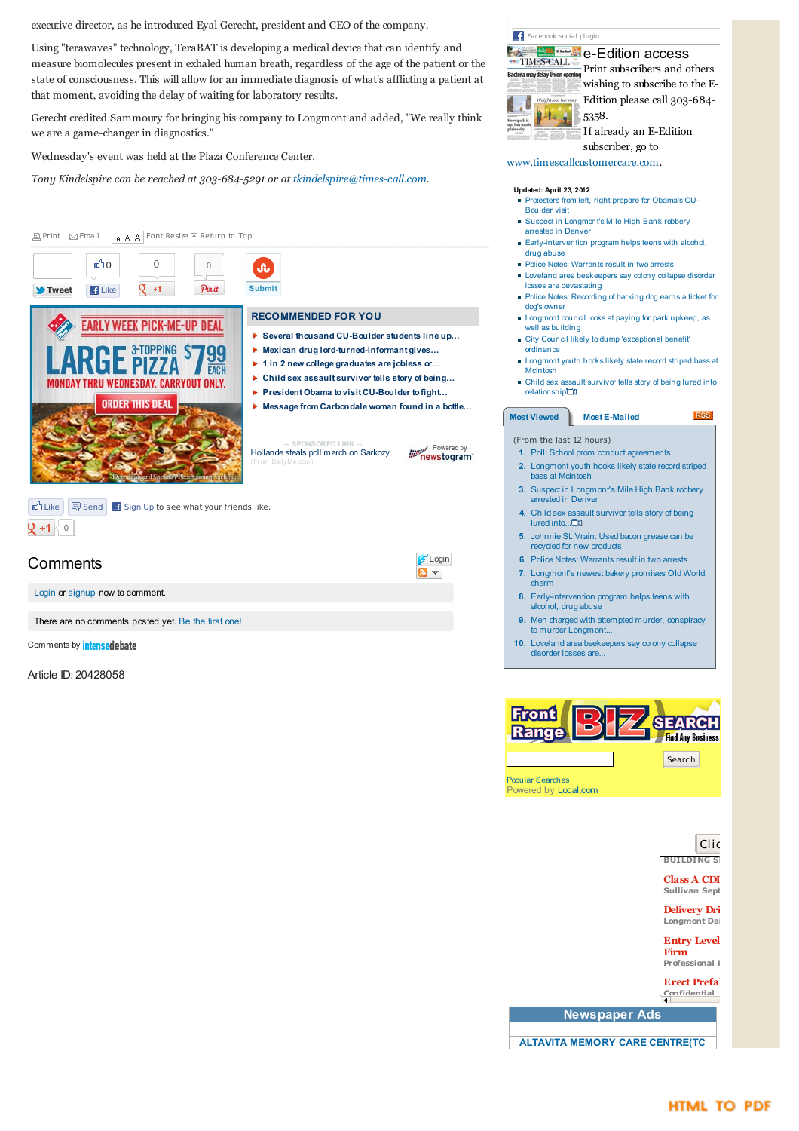executive director, as he introduced Eyal Gerecht, president and CEO of the company.

Using "terawaves" technology, TeraBAT is developing a medical device that can identify and measure biomolecules present in exhaled human breath, regardless of the age of the patient or the state of consciousness. This will allow for an immediate diagnosis of what's afflicting a patient at that moment, avoiding the delay of waiting for laboratory results.

Gerecht credited Sammoury for bringing his company to Longmont and added, "We really think we are a game-changer in diagnostics."

Wednesday's event was held at the Plaza Conference Center.

*Tony Kindelspire can be reached at 303-684-5291 or at [tkindelspire@times-call.com](mailto:tkindelspire@times-call.com).*



Article ID: 20428058